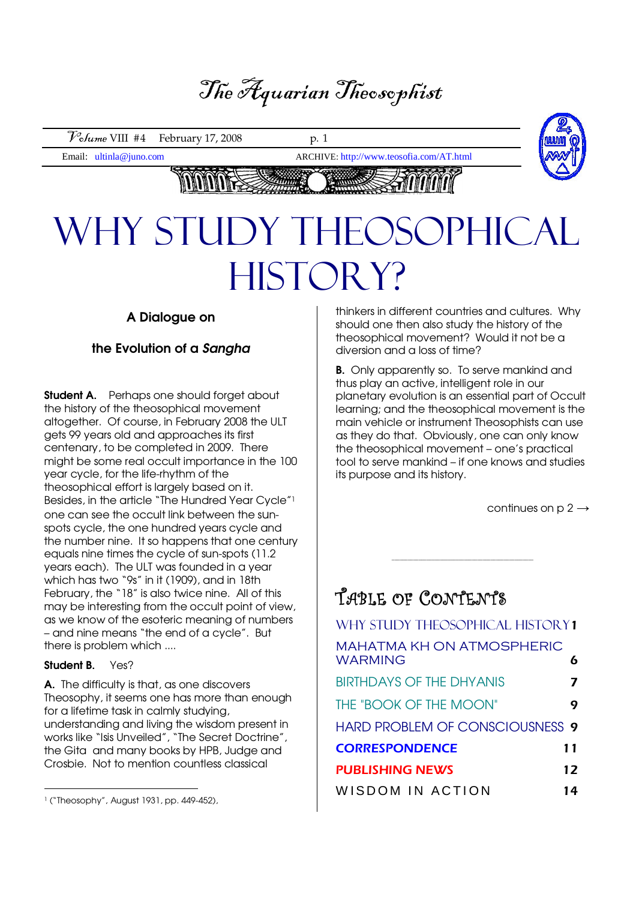## The Aquarian Theosophist



# $\Box$  Y STI II W WHY STUDY THEOSOPHICAL HISTORY?

#### A Dialogue on

#### the Evolution of a Sanaha

**Student A.** Perhaps one should forget about the history of the theosophical movement altogether. Of course, in February 2008 the ULT gets 99 years old and approaches its first centenary, to be completed in 2009. There might be some real occult importance in the 100 year cycle, for the life-rhythm of the theosophical effort is largely based on it. Besides, in the article "The Hundred Year Cycle"<sup>1</sup> one can see the occult link between the sunspots cycle, the one hundred years cycle and the number nine. It so happens that one century equals nine times the cycle of sun-spots (11.2 years each). The ULT was founded in a year which has two "9s" in it (1909), and in 18th February, the "18" is also twice nine. All of this may be interesting from the occult point of view, as we know of the esoteric meaning of numbers – and nine means "the end of a cycle". But there is problem which ....

#### Student B. Yes?

 $\overline{a}$ 

A. The difficulty is that, as one discovers Theosophy, it seems one has more than enough for a lifetime task in calmly studying, understanding and living the wisdom present in works like "Isis Unveiled", "The Secret Doctrine", the Gita and many books by HPB, Judge and Crosbie. Not to mention countless classical

thinkers in different countries and cultures. Why should one then also study the history of the theosophical movement? Would it not be a diversion and a loss of time?

**B.** Only apparently so. To serve mankind and thus play an active, intelligent role in our planetary evolution is an essential part of Occult learning; and the theosophical movement is the main vehicle or instrument Theosophists can use as they do that. Obviously, one can only know the theosophical movement – one's practical tool to serve mankind – if one knows and studies its purpose and its history.

\_\_\_\_\_\_\_\_\_\_\_\_\_\_\_\_\_\_\_\_\_\_\_\_\_\_\_\_\_\_\_\_\_\_\_\_\_\_\_\_\_\_\_\_\_\_\_\_\_\_\_\_\_

continues on  $p 2 \rightarrow$ 

## TABLE OF CONTENTS

| WHY STUDY THEOSOPHICAL HISTORY1            |    |
|--------------------------------------------|----|
| <b>MAHATMA KHON ATMOSPHERIC</b><br>WARMING | 6  |
| <b>BIRTHDAYS OF THE DHYANIS</b>            |    |
| THE "BOOK OF THE MOON"                     | 9  |
| HARD PROBLEM OF CONSCIOUSNESS 9            |    |
| <b>CORRESPONDENCE</b>                      | 11 |
| <b>PUBLISHING NEWS</b>                     | 12 |
| WISDOM IN ACTION                           | 14 |

<sup>1</sup> ("Theosophy", August 1931, pp. 449-452),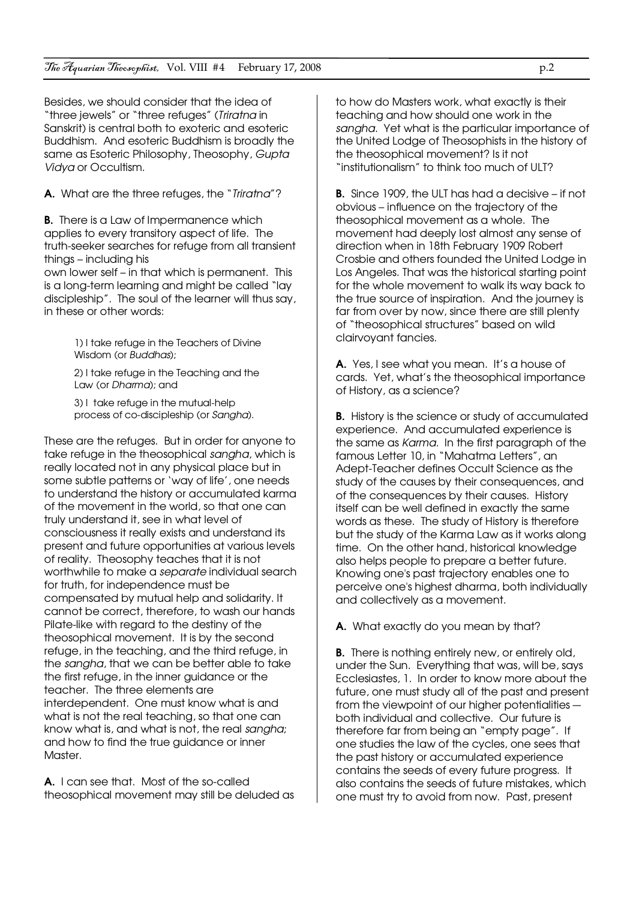Besides, we should consider that the idea of "three jewels" or "three refuges" (Triratna in Sanskrit) is central both to exoteric and esoteric Buddhism. And esoteric Buddhism is broadly the same as Esoteric Philosophy, Theosophy, Gupta Vidya or Occultism.

A. What are the three refuges, the "Triratna"?

**B.** There is a Law of Impermanence which applies to every transitory aspect of life. The truth-seeker searches for refuge from all transient things – including his

own lower self – in that which is permanent. This is a long-term learning and might be called "lay discipleship". The soul of the learner will thus say, in these or other words:

> 1) I take refuge in the Teachers of Divine Wisdom (or Buddhas);

> 2) I take refuge in the Teaching and the Law (or *Dharma*); and

3) I take refuge in the mutual-help process of co-discipleship (or Sangha).

These are the refuges. But in order for anyone to take refuge in the theosophical sangha, which is really located not in any physical place but in some subtle patterns or 'way of life', one needs to understand the history or accumulated karma of the movement in the world, so that one can truly understand it, see in what level of consciousness it really exists and understand its present and future opportunities at various levels of reality. Theosophy teaches that it is not worthwhile to make a separate individual search for truth, for independence must be compensated by mutual help and solidarity. It cannot be correct, therefore, to wash our hands Pilate-like with regard to the destiny of the theosophical movement. It is by the second refuge, in the teaching, and the third refuge, in the sangha, that we can be better able to take the first refuge, in the inner guidance or the teacher. The three elements are interdependent. One must know what is and what is not the real teaching, so that one can know what is, and what is not, the real sangha; and how to find the true guidance or inner Master.

A. I can see that. Most of the so-called theosophical movement may still be deluded as to how do Masters work, what exactly is their teaching and how should one work in the sangha. Yet what is the particular importance of the United Lodge of Theosophists in the history of the theosophical movement? Is it not "institutionalism" to think too much of ULT?

B. Since 1909, the ULT has had a decisive – if not obvious – influence on the trajectory of the theosophical movement as a whole. The movement had deeply lost almost any sense of direction when in 18th February 1909 Robert Crosbie and others founded the United Lodge in Los Angeles. That was the historical starting point for the whole movement to walk its way back to the true source of inspiration. And the journey is far from over by now, since there are still plenty of "theosophical structures" based on wild clairvoyant fancies.

A. Yes, I see what you mean. It's a house of cards. Yet, what's the theosophical importance of History, as a science?

**B.** History is the science or study of accumulated experience. And accumulated experience is the same as Karma. In the first paragraph of the famous Letter 10, in "Mahatma Letters", an Adept-Teacher defines Occult Science as the study of the causes by their consequences, and of the consequences by their causes. History itself can be well defined in exactly the same words as these. The study of History is therefore but the study of the Karma Law as it works along time. On the other hand, historical knowledge also helps people to prepare a better future. Knowing one's past trajectory enables one to perceive one's highest dharma, both individually and collectively as a movement.

A. What exactly do you mean by that?

**B.** There is nothing entirely new, or entirely old, under the Sun. Everything that was, will be, says Ecclesiastes, 1. In order to know more about the future, one must study all of the past and present from the viewpoint of our higher potentialities – both individual and collective. Our future is therefore far from being an "empty page". If one studies the law of the cycles, one sees that the past history or accumulated experience contains the seeds of every future progress. It also contains the seeds of future mistakes, which one must try to avoid from now. Past, present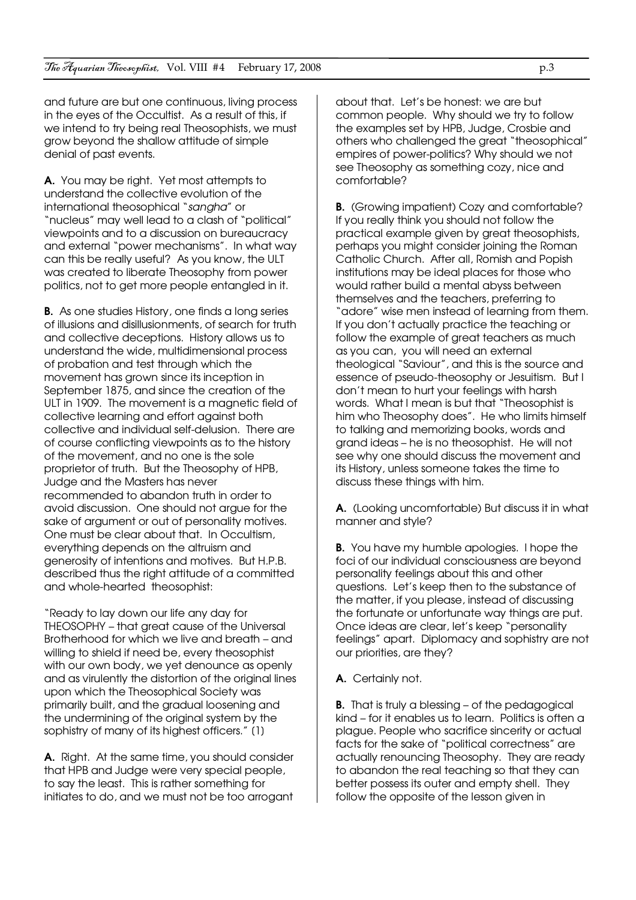and future are but one continuous, living process in the eyes of the Occultist. As a result of this, if we intend to try being real Theosophists, we must grow beyond the shallow attitude of simple denial of past events.

A. You may be right. Yet most attempts to understand the collective evolution of the international theosophical "sangha" or "nucleus" may well lead to a clash of "political" viewpoints and to a discussion on bureaucracy and external "power mechanisms". In what way can this be really useful? As you know, the ULT was created to liberate Theosophy from power politics, not to get more people entangled in it.

**B.** As one studies History, one finds a long series of illusions and disillusionments, of search for truth and collective deceptions. History allows us to understand the wide, multidimensional process of probation and test through which the movement has grown since its inception in September 1875, and since the creation of the ULT in 1909. The movement is a magnetic field of collective learning and effort against both collective and individual self-delusion. There are of course conflicting viewpoints as to the history of the movement, and no one is the sole proprietor of truth. But the Theosophy of HPB, Judge and the Masters has never recommended to abandon truth in order to avoid discussion. One should not argue for the sake of argument or out of personality motives. One must be clear about that. In Occultism, everything depends on the altruism and generosity of intentions and motives. But H.P.B. described thus the right attitude of a committed and whole-hearted theosophist:

"Ready to lay down our life any day for THEOSOPHY – that great cause of the Universal Brotherhood for which we live and breath – and willing to shield if need be, every theosophist with our own body, we yet denounce as openly and as virulently the distortion of the original lines upon which the Theosophical Society was primarily built, and the gradual loosening and the undermining of the original system by the sophistry of many of its highest officers." [1]

A. Right. At the same time, you should consider that HPB and Judge were very special people, to say the least. This is rather something for initiates to do, and we must not be too arrogant

about that. Let's be honest: we are but common people. Why should we try to follow the examples set by HPB, Judge, Crosbie and others who challenged the great "theosophical" empires of power-politics? Why should we not see Theosophy as something cozy, nice and comfortable?

**B.** (Growing impatient) Cozy and comfortable? If you really think you should not follow the practical example given by great theosophists, perhaps you might consider joining the Roman Catholic Church. After all, Romish and Popish institutions may be ideal places for those who would rather build a mental abyss between themselves and the teachers, preferring to "adore" wise men instead of learning from them. If you don't actually practice the teaching or follow the example of great teachers as much as you can, you will need an external theological "Saviour", and this is the source and essence of pseudo-theosophy or Jesuitism. But I don't mean to hurt your feelings with harsh words. What I mean is but that "Theosophist is him who Theosophy does". He who limits himself to talking and memorizing books, words and grand ideas – he is no theosophist. He will not see why one should discuss the movement and its History, unless someone takes the time to discuss these things with him.

A. (Looking uncomfortable) But discuss it in what manner and style?

**B.** You have my humble apologies. I hope the foci of our individual consciousness are beyond personality feelings about this and other questions. Let's keep then to the substance of the matter, if you please, instead of discussing the fortunate or unfortunate way things are put. Once ideas are clear, let's keep "personality feelings" apart. Diplomacy and sophistry are not our priorities, are they?

A. Certainly not.

**B.** That is truly a blessing – of the pedagogical kind – for it enables us to learn. Politics is often a plague. People who sacrifice sincerity or actual facts for the sake of "political correctness" are actually renouncing Theosophy. They are ready to abandon the real teaching so that they can better possess its outer and empty shell. They follow the opposite of the lesson given in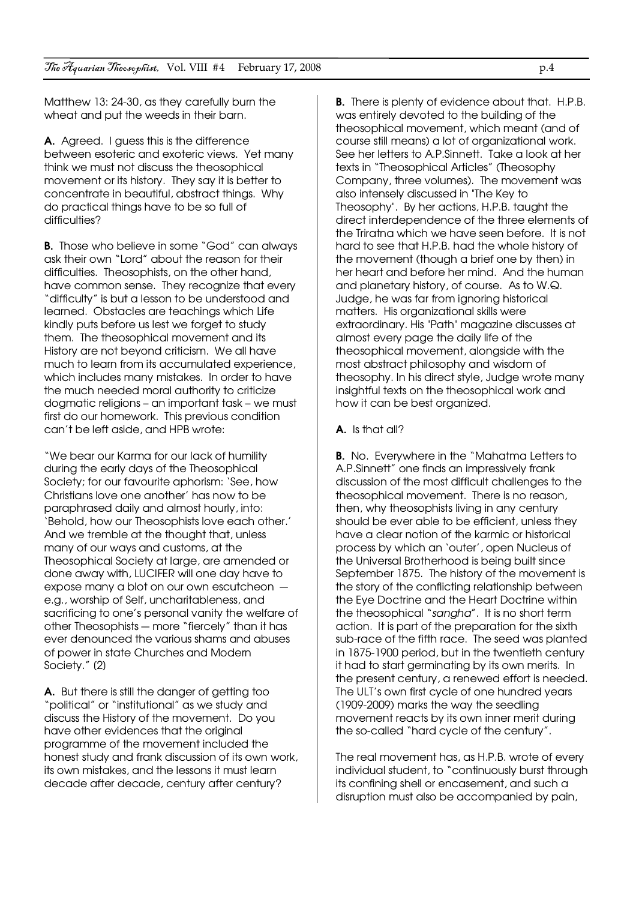Matthew 13: 24-30, as they carefully burn the wheat and put the weeds in their barn.

A. Agreed. I guess this is the difference between esoteric and exoteric views. Yet many think we must not discuss the theosophical movement or its history. They say it is better to concentrate in beautiful, abstract things. Why do practical things have to be so full of difficulties?

**B.** Those who believe in some "God" can always ask their own "Lord" about the reason for their difficulties. Theosophists, on the other hand, have common sense. They recognize that every "difficulty" is but a lesson to be understood and learned. Obstacles are teachings which Life kindly puts before us lest we forget to study them. The theosophical movement and its History are not beyond criticism. We all have much to learn from its accumulated experience, which includes many mistakes. In order to have the much needed moral authority to criticize dogmatic religions – an important task – we must first do our homework. This previous condition can't be left aside, and HPB wrote:

"We bear our Karma for our lack of humility during the early days of the Theosophical Society; for our favourite aphorism: 'See, how Christians love one another' has now to be paraphrased daily and almost hourly, into: 'Behold, how our Theosophists love each other.' And we tremble at the thought that, unless many of our ways and customs, at the Theosophical Society at large, are amended or done away with, LUCIFER will one day have to expose many a blot on our own escutcheon ― e.g., worship of Self, uncharitableness, and sacrificing to one's personal vanity the welfare of other Theosophists ― more "fiercely" than it has ever denounced the various shams and abuses of power in state Churches and Modern Society." (2)

A. But there is still the danger of getting too "political" or "institutional" as we study and discuss the History of the movement. Do you have other evidences that the original programme of the movement included the honest study and frank discussion of its own work, its own mistakes, and the lessons it must learn decade after decade, century after century?

**B.** There is plenty of evidence about that. H.P.B. was entirely devoted to the building of the theosophical movement, which meant (and of course still means) a lot of organizational work. See her letters to A.P.Sinnett. Take a look at her texts in "Theosophical Articles" (Theosophy Company, three volumes). The movement was also intensely discussed in "The Key to Theosophy". By her actions, H.P.B. taught the direct interdependence of the three elements of the Triratna which we have seen before. It is not hard to see that H.P.B. had the whole history of the movement (though a brief one by then) in her heart and before her mind. And the human and planetary history, of course. As to W.Q. Judge, he was far from ignoring historical matters. His organizational skills were extraordinary. His "Path" magazine discusses at almost every page the daily life of the theosophical movement, alongside with the most abstract philosophy and wisdom of theosophy. In his direct style, Judge wrote many insightful texts on the theosophical work and how it can be best organized.

#### A. Is that all?

B. No. Everywhere in the "Mahatma Letters to A.P.Sinnett" one finds an impressively frank discussion of the most difficult challenges to the theosophical movement. There is no reason, then, why theosophists living in any century should be ever able to be efficient, unless they have a clear notion of the karmic or historical process by which an 'outer', open Nucleus of the Universal Brotherhood is being built since September 1875. The history of the movement is the story of the conflicting relationship between the Eye Doctrine and the Heart Doctrine within the theosophical "sangha". It is no short term action. It is part of the preparation for the sixth sub-race of the fifth race. The seed was planted in 1875-1900 period, but in the twentieth century it had to start germinating by its own merits. In the present century, a renewed effort is needed. The ULT's own first cycle of one hundred years (1909-2009) marks the way the seedling movement reacts by its own inner merit during the so-called "hard cycle of the century".

The real movement has, as H.P.B. wrote of every individual student, to "continuously burst through its confining shell or encasement, and such a disruption must also be accompanied by pain,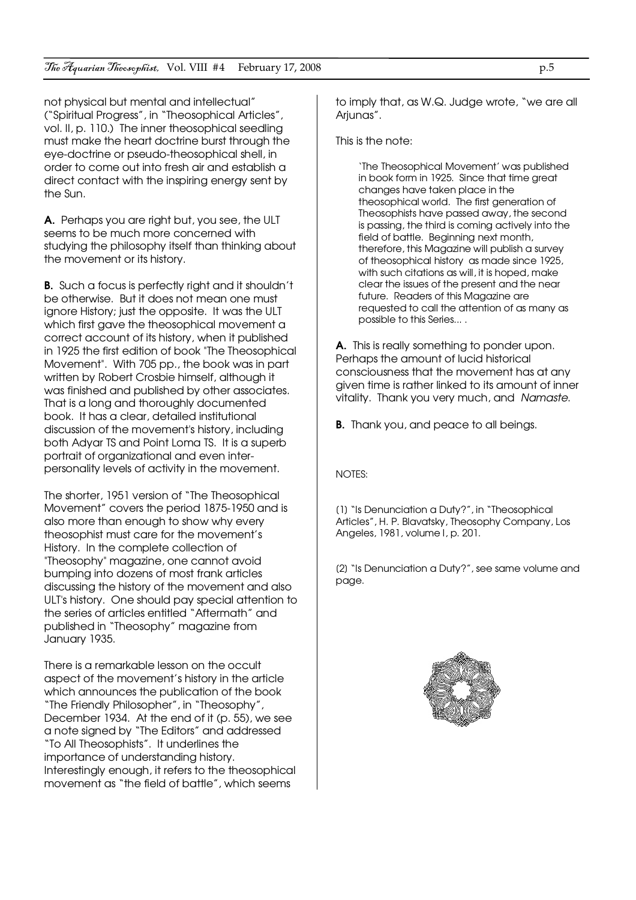not physical but mental and intellectual" ("Spiritual Progress", in "Theosophical Articles", vol. II, p. 110.) The inner theosophical seedling must make the heart doctrine burst through the eye-doctrine or pseudo-theosophical shell, in order to come out into fresh air and establish a direct contact with the inspiring energy sent by the Sun.

A. Perhaps you are right but, you see, the ULT seems to be much more concerned with studying the philosophy itself than thinking about the movement or its history.

**B.** Such a focus is perfectly right and it shouldn't be otherwise. But it does not mean one must ignore History; just the opposite. It was the ULT which first gave the theosophical movement a correct account of its history, when it published in 1925 the first edition of book "The Theosophical Movement". With 705 pp., the book was in part written by Robert Crosbie himself, although it was finished and published by other associates. That is a long and thoroughly documented book. It has a clear, detailed institutional discussion of the movement's history, including both Adyar TS and Point Loma TS. It is a superb portrait of organizational and even interpersonality levels of activity in the movement.

The shorter, 1951 version of "The Theosophical Movement" covers the period 1875-1950 and is also more than enough to show why every theosophist must care for the movement's History. In the complete collection of "Theosophy" magazine, one cannot avoid bumping into dozens of most frank articles discussing the history of the movement and also ULT's history. One should pay special attention to the series of articles entitled "Aftermath" and published in "Theosophy" magazine from January 1935.

There is a remarkable lesson on the occult aspect of the movement's history in the article which announces the publication of the book "The Friendly Philosopher", in "Theosophy", December 1934. At the end of it (p. 55), we see a note signed by "The Editors" and addressed "To All Theosophists". It underlines the importance of understanding history. Interestingly enough, it refers to the theosophical movement as "the field of battle", which seems

to imply that, as W.Q. Judge wrote, "we are all Ariunas".

This is the note:

'The Theosophical Movement' was published in book form in 1925. Since that time great changes have taken place in the theosophical world. The first generation of Theosophists have passed away, the second is passing, the third is coming actively into the field of battle. Beginning next month, therefore, this Magazine will publish a survey of theosophical history as made since 1925, with such citations as will, it is hoped, make clear the issues of the present and the near future. Readers of this Magazine are requested to call the attention of as many as possible to this Series... .

A. This is really something to ponder upon. Perhaps the amount of lucid historical consciousness that the movement has at any given time is rather linked to its amount of inner vitality. Thank you very much, and Namaste.

**B.** Thank you, and peace to all beings.

NOTES:

[1] "Is Denunciation a Duty?", in "Theosophical Articles", H. P. Blavatsky, Theosophy Company, Los Angeles, 1981, volume I, p. 201.

[2] "Is Denunciation a Duty?", see same volume and page.

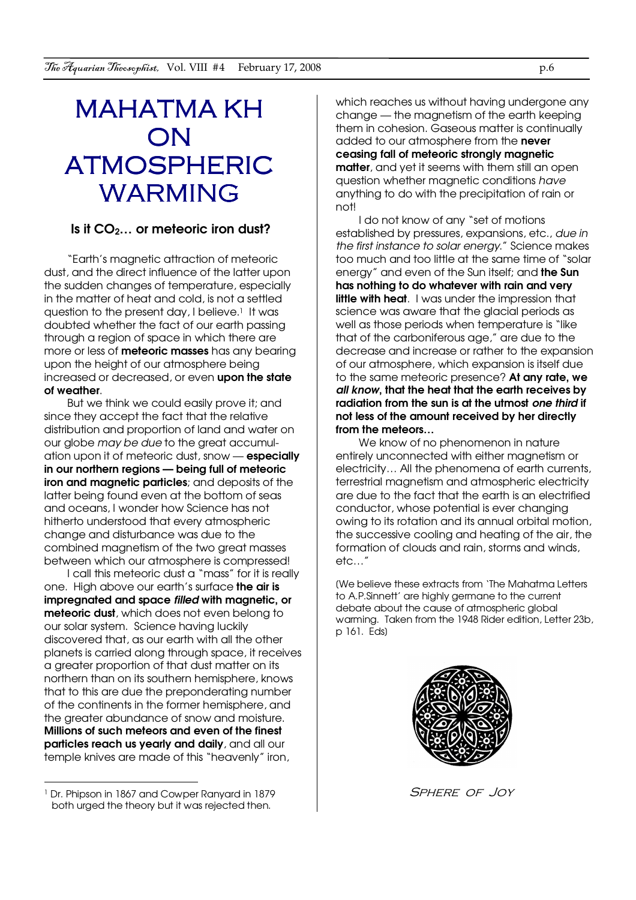## **MAHATMA KH ON** ATMOSPHERIC WARMING

#### Is it  $CO<sub>2</sub>...$  or meteoric iron dust?

"Earth's magnetic attraction of meteoric dust, and the direct influence of the latter upon the sudden changes of temperature, especially in the matter of heat and cold, is not a settled question to the present day, I believe.1 It was doubted whether the fact of our earth passing through a region of space in which there are more or less of **meteoric masses** has any bearing upon the height of our atmosphere being increased or decreased, or even upon the state of weather.

But we think we could easily prove it; and since they accept the fact that the relative distribution and proportion of land and water on our globe may be due to the great accumulation upon it of meteoric dust, snow - **especially** in our northern regions — being full of meteoric iron and magnetic particles; and deposits of the latter being found even at the bottom of seas and oceans, I wonder how Science has not hitherto understood that every atmospheric change and disturbance was due to the combined magnetism of the two great masses between which our atmosphere is compressed!

I call this meteoric dust a "mass" for it is really one. High above our earth's surface the air is impregnated and space filled with magnetic, or meteoric dust, which does not even belong to our solar system. Science having luckily discovered that, as our earth with all the other planets is carried along through space, it receives a greater proportion of that dust matter on its northern than on its southern hemisphere, knows that to this are due the preponderating number of the continents in the former hemisphere, and the greater abundance of snow and moisture. Millions of such meteors and even of the finest particles reach us yearly and daily, and all our temple knives are made of this "heavenly" iron,

 $\overline{a}$ 

which reaches us without having undergone any change — the magnetism of the earth keeping them in cohesion. Gaseous matter is continually added to our atmosphere from the **never** ceasing fall of meteoric strongly magnetic matter, and yet it seems with them still an open question whether magnetic conditions have anything to do with the precipitation of rain or not!

I do not know of any "set of motions established by pressures, expansions, etc., due in the first instance to solar energy." Science makes too much and too little at the same time of "solar energy" and even of the Sun itself; and the Sun has nothing to do whatever with rain and very little with heat. I was under the impression that science was aware that the glacial periods as well as those periods when temperature is "like that of the carboniferous age," are due to the decrease and increase or rather to the expansion of our atmosphere, which expansion is itself due to the same meteoric presence? At any rate, we all know, that the heat that the earth receives by radiation from the sun is at the utmost one third if not less of the amount received by her directly from the meteors…

We know of no phenomenon in nature entirely unconnected with either magnetism or electricity… All the phenomena of earth currents, terrestrial magnetism and atmospheric electricity are due to the fact that the earth is an electrified conductor, whose potential is ever changing owing to its rotation and its annual orbital motion, the successive cooling and heating of the air, the formation of clouds and rain, storms and winds, etc…"

[We believe these extracts from 'The Mahatma Letters to A.P.Sinnett' are highly germane to the current debate about the cause of atmospheric global warming. Taken from the 1948 Rider edition, Letter 23b, p 161. Eds]



Sphere of Joy

<sup>1</sup> Dr. Phipson in 1867 and Cowper Ranyard in 1879 both urged the theory but it was rejected then.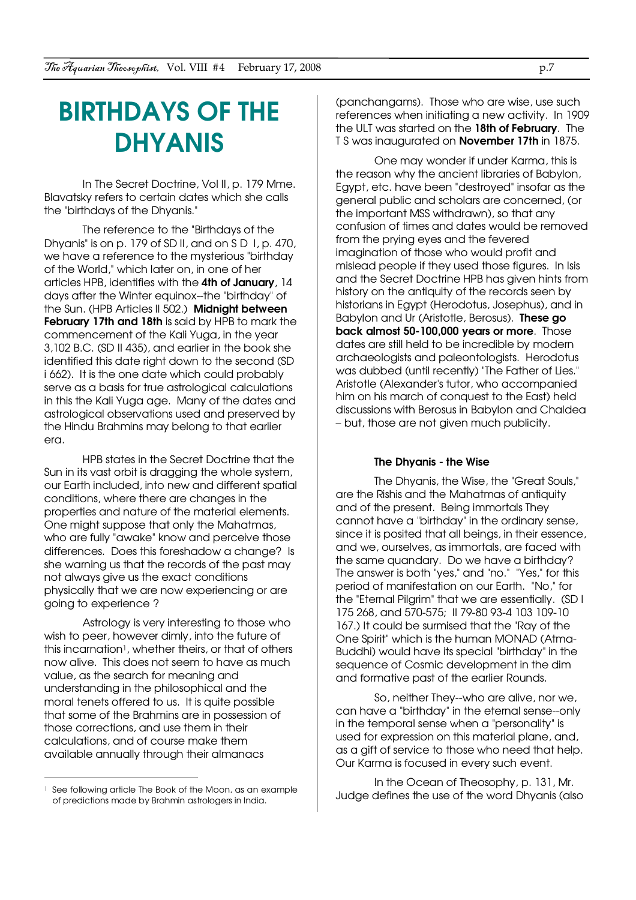## BIRTHDAYS OF THE DHYANIS

In The Secret Doctrine, Vol II, p. 179 Mme. Blavatsky refers to certain dates which she calls the "birthdays of the Dhyanis."

The reference to the "Birthdays of the Dhyanis" is on p. 179 of SD II, and on S D I, p. 470, we have a reference to the mysterious "birthday of the World," which later on, in one of her articles HPB, identifies with the 4th of January, 14 days after the Winter equinox--the "birthday" of the Sun. (HPB Articles II 502.) Midnight between February 17th and 18th is said by HPB to mark the commencement of the Kali Yuga, in the year 3,102 B.C. (SD II 435), and earlier in the book she identified this date right down to the second (SD i 662). It is the one date which could probably serve as a basis for true astrological calculations in this the Kali Yuga age. Many of the dates and astrological observations used and preserved by the Hindu Brahmins may belong to that earlier era.

HPB states in the Secret Doctrine that the Sun in its vast orbit is dragging the whole system, our Earth included, into new and different spatial conditions, where there are changes in the properties and nature of the material elements. One might suppose that only the Mahatmas, who are fully "awake" know and perceive those differences. Does this foreshadow a change? Is she warning us that the records of the past may not always give us the exact conditions physically that we are now experiencing or are going to experience ?

Astrology is very interesting to those who wish to peer, however dimly, into the future of this incarnation1, whether theirs, or that of others now alive. This does not seem to have as much value, as the search for meaning and understanding in the philosophical and the moral tenets offered to us. It is quite possible that some of the Brahmins are in possession of those corrections, and use them in their calculations, and of course make them available annually through their almanacs

 $\overline{a}$ 

(panchangams). Those who are wise, use such references when initiating a new activity. In 1909 the ULT was started on the 18th of February. The T S was inaugurated on November 17th in 1875.

One may wonder if under Karma, this is the reason why the ancient libraries of Babylon, Egypt, etc. have been "destroyed" insofar as the general public and scholars are concerned, (or the important MSS withdrawn), so that any confusion of times and dates would be removed from the prying eyes and the fevered imagination of those who would profit and mislead people if they used those figures. In Isis and the Secret Doctrine HPB has given hints from history on the antiquity of the records seen by historians in Egypt (Herodotus, Josephus), and in Babylon and Ur (Aristotle, Berosus). **These ao** back almost 50-100,000 years or more. Those dates are still held to be incredible by modern archaeologists and paleontologists. Herodotus was dubbed (until recently) "The Father of Lies." Aristotle (Alexander's tutor, who accompanied him on his march of conquest to the East) held discussions with Berosus in Babylon and Chaldea – but, those are not given much publicity.

#### The Dhyanis - the Wise

The Dhyanis, the Wise, the "Great Souls," are the Rishis and the Mahatmas of antiquity and of the present. Being immortals They cannot have a "birthday" in the ordinary sense, since it is posited that all beings, in their essence, and we, ourselves, as immortals, are faced with the same quandary. Do we have a birthday? The answer is both "yes," and "no." "Yes," for this period of manifestation on our Earth. "No," for the "Eternal Pilgrim" that we are essentially. (SD I 175 268, and 570-575; II 79-80 93-4 103 109-10 167.) It could be surmised that the "Ray of the One Spirit" which is the human MONAD (Atma-Buddhi) would have its special "birthday" in the sequence of Cosmic development in the dim and formative past of the earlier Rounds.

So, neither They--who are alive, nor we, can have a "birthday" in the eternal sense--only in the temporal sense when a "personality" is used for expression on this material plane, and, as a gift of service to those who need that help. Our Karma is focused in every such event.

In the Ocean of Theosophy, p. 131, Mr. Judge defines the use of the word Dhyanis (also

<sup>&</sup>lt;sup>1</sup> See following article The Book of the Moon, as an example of predictions made by Brahmin astrologers in India.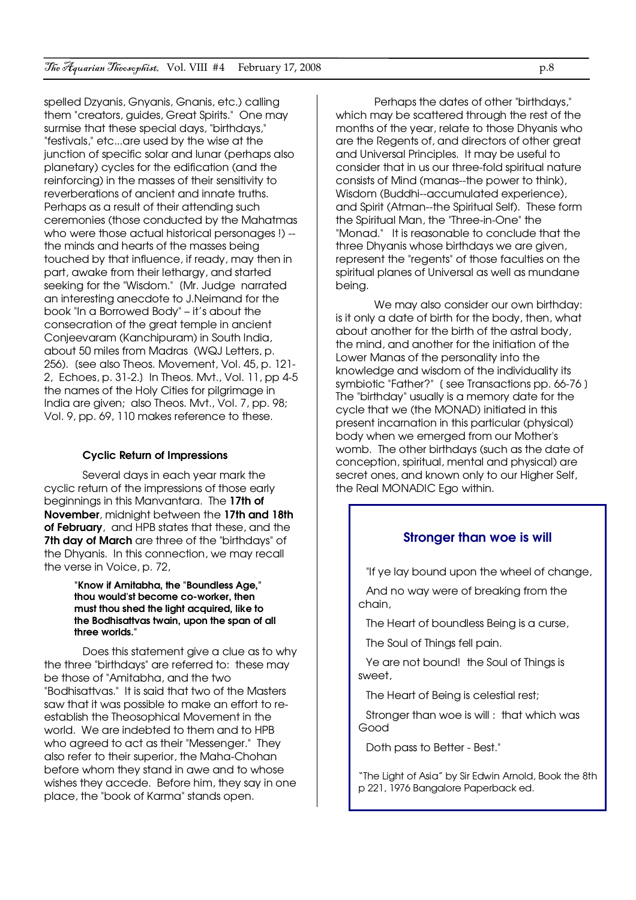spelled Dzyanis, Gnyanis, Gnanis, etc.) calling them "creators, guides, Great Spirits." One may surmise that these special days, "birthdays," "festivals," etc...are used by the wise at the junction of specific solar and lunar (perhaps also planetary) cycles for the edification (and the reinforcing) in the masses of their sensitivity to reverberations of ancient and innate truths. Perhaps as a result of their attending such ceremonies (those conducted by the Mahatmas who were those actual historical personages !) - the minds and hearts of the masses being touched by that influence, if ready, may then in part, awake from their lethargy, and started seeking for the "Wisdom." [Mr. Judge narrated an interesting anecdote to J.Neimand for the book "In a Borrowed Body" – it's about the consecration of the great temple in ancient Conjeevaram (Kanchipuram) in South India, about 50 miles from Madras (WQJ Letters, p. 256). [see also Theos. Movement, Vol. 45, p. 121- 2, Echoes, p. 31-2.] In Theos. Mvt., Vol. 11, pp 4-5 the names of the Holy Cities for pilgrimage in India are given; also Theos. Mvt., Vol. 7, pp. 98; Vol. 9, pp. 69, 110 makes reference to these.

#### Cyclic Return of Impressions

Several days in each year mark the cyclic return of the impressions of those early beginnings in this Manvantara. The 17th of November, midnight between the 17th and 18th of February, and HPB states that these, and the **7th day of March** are three of the "birthdays" of the Dhyanis. In this connection, we may recall the verse in Voice, p. 72,

> "Know if Amitabha, the "Boundless Age," thou would'st become co-worker, then must thou shed the light acquired, like to the Bodhisattvas twain, upon the span of all three worlds."

Does this statement give a clue as to why the three "birthdays" are referred to: these may be those of "Amitabha, and the two "Bodhisattvas." It is said that two of the Masters saw that it was possible to make an effort to reestablish the Theosophical Movement in the world. We are indebted to them and to HPB who agreed to act as their "Messenger." They also refer to their superior, the Maha-Chohan before whom they stand in awe and to whose wishes they accede. Before him, they say in one place, the "book of Karma" stands open.

Perhaps the dates of other "birthdays," which may be scattered through the rest of the months of the year, relate to those Dhyanis who are the Regents of, and directors of other great and Universal Principles. It may be useful to consider that in us our three-fold spiritual nature consists of Mind (manas--the power to think), Wisdom (Buddhi--accumulated experience), and Spirit (Atman--the Spiritual Self). These form the Spiritual Man, the "Three-in-One" the "Monad." It is reasonable to conclude that the three Dhyanis whose birthdays we are given, represent the "regents" of those faculties on the spiritual planes of Universal as well as mundane being.

We may also consider our own birthday: is it only a date of birth for the body, then, what about another for the birth of the astral body, the mind, and another for the initiation of the Lower Manas of the personality into the knowledge and wisdom of the individuality its symbiotic "Father?" [ see Transactions pp. 66-76 ] The "birthday" usually is a memory date for the cycle that we (the MONAD) initiated in this present incarnation in this particular (physical) body when we emerged from our Mother's womb. The other birthdays (such as the date of conception, spiritual, mental and physical) are secret ones, and known only to our Higher Self, the Real MONADIC Ego within.

#### Stronger than woe is will

"If ye lay bound upon the wheel of change,

And no way were of breaking from the chain,

- The Heart of boundless Being is a curse,
- The Soul of Things fell pain.

Ye are not bound! the Soul of Things is sweet,

The Heart of Being is celestial rest;

Stronger than woe is will : that which was Good

Doth pass to Better - Best."

"The Light of Asia" by Sir Edwin Arnold, Book the 8th p 221, 1976 Bangalore Paperback ed.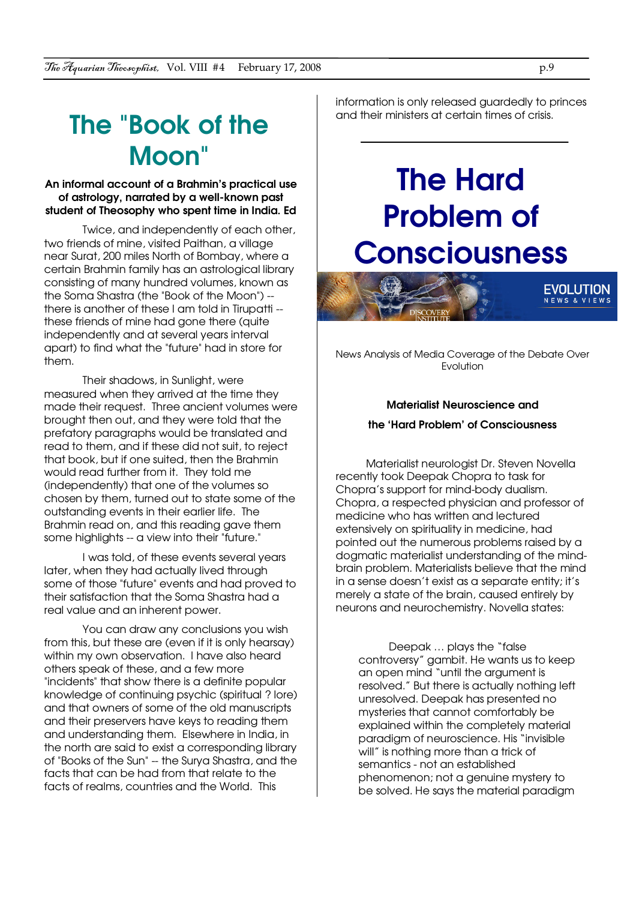# The "Book of the Moon"

#### An informal account of a Brahmin's practical use of astrology, narrated by a well-known past student of Theosophy who spent time in India. Ed

Twice, and independently of each other, two friends of mine, visited Paithan, a village near Surat, 200 miles North of Bombay, where a certain Brahmin family has an astrological library consisting of many hundred volumes, known as the Soma Shastra (the "Book of the Moon") - there is another of these I am told in Tirupatti - these friends of mine had gone there (quite independently and at several years interval apart) to find what the "future" had in store for them.

Their shadows, in Sunlight, were measured when they arrived at the time they made their request. Three ancient volumes were brought then out, and they were told that the prefatory paragraphs would be translated and read to them, and if these did not suit, to reject that book, but if one suited, then the Brahmin would read further from it. They told me (independently) that one of the volumes so chosen by them, turned out to state some of the outstanding events in their earlier life. The Brahmin read on, and this reading gave them some highlights -- a view into their "future."

I was told, of these events several years later, when they had actually lived through some of those "future" events and had proved to their satisfaction that the Soma Shastra had a real value and an inherent power.

You can draw any conclusions you wish from this, but these are (even if it is only hearsay) within my own observation. I have also heard others speak of these, and a few more "incidents" that show there is a definite popular knowledge of continuing psychic (spiritual ? lore) and that owners of some of the old manuscripts and their preservers have keys to reading them and understanding them. Elsewhere in India, in the north are said to exist a corresponding library of "Books of the Sun" -- the Surya Shastra, and the facts that can be had from that relate to the facts of realms, countries and the World. This

information is only released guardedly to princes and their ministers at certain times of crisis.

# The Hard Problem of **Consciousness**



News Analysis of Media Coverage of the Debate Over **Evolution** 

#### Materialist Neuroscience and the 'Hard Problem' of Consciousness

Materialist neurologist Dr. Steven Novella recently took Deepak Chopra to task for Chopra's support for mind-body dualism. Chopra, a respected physician and professor of medicine who has written and lectured extensively on spirituality in medicine, had pointed out the numerous problems raised by a dogmatic materialist understanding of the mindbrain problem. Materialists believe that the mind in a sense doesn't exist as a separate entity; it's merely a state of the brain, caused entirely by neurons and neurochemistry. Novella states:

Deepak … plays the "false controversy" gambit. He wants us to keep an open mind "until the argument is resolved." But there is actually nothing left unresolved. Deepak has presented no mysteries that cannot comfortably be explained within the completely material paradigm of neuroscience. His "invisible will" is nothing more than a trick of semantics - not an established phenomenon; not a genuine mystery to be solved. He says the material paradigm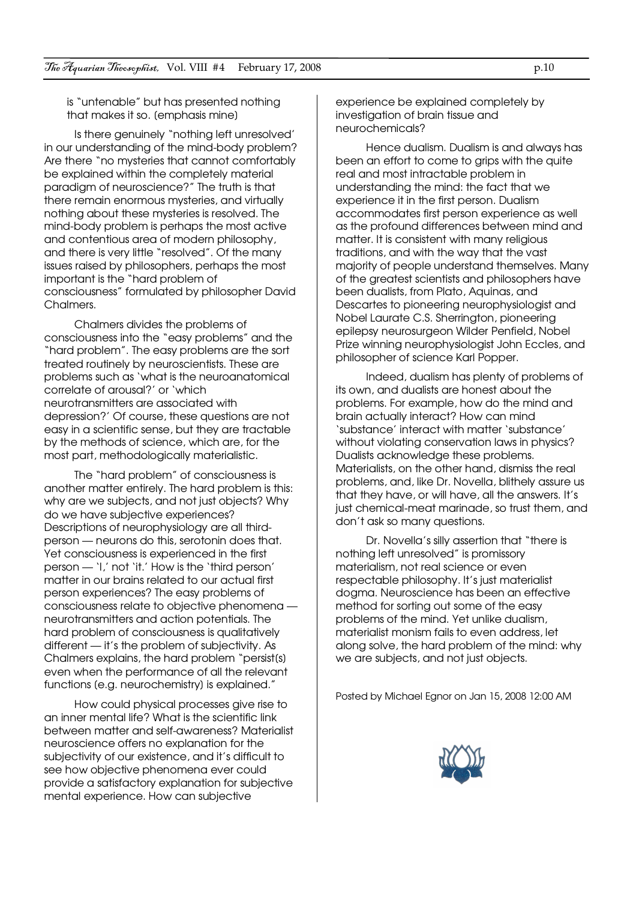is "untenable" but has presented nothing that makes it so. [emphasis mine]

Is there genuinely "nothing left unresolved' in our understanding of the mind-body problem? Are there "no mysteries that cannot comfortably be explained within the completely material paradigm of neuroscience?" The truth is that there remain enormous mysteries, and virtually nothing about these mysteries is resolved. The mind-body problem is perhaps the most active and contentious area of modern philosophy, and there is very little "resolved". Of the many issues raised by philosophers, perhaps the most important is the "hard problem of consciousness" formulated by philosopher David Chalmers.

Chalmers divides the problems of consciousness into the "easy problems" and the "hard problem". The easy problems are the sort treated routinely by neuroscientists. These are problems such as 'what is the neuroanatomical correlate of arousal?' or 'which neurotransmitters are associated with depression?' Of course, these questions are not easy in a scientific sense, but they are tractable by the methods of science, which are, for the most part, methodologically materialistic.

The "hard problem" of consciousness is another matter entirely. The hard problem is this: why are we subjects, and not just objects? Why do we have subjective experiences? Descriptions of neurophysiology are all thirdperson — neurons do this, serotonin does that. Yet consciousness is experienced in the first person — 'I,' not 'it.' How is the 'third person' matter in our brains related to our actual first person experiences? The easy problems of consciousness relate to objective phenomena neurotransmitters and action potentials. The hard problem of consciousness is qualitatively different — it's the problem of subjectivity. As Chalmers explains, the hard problem "persist[s] even when the performance of all the relevant functions (e.g. neurochemistry) is explained."

How could physical processes give rise to an inner mental life? What is the scientific link between matter and self-awareness? Materialist neuroscience offers no explanation for the subjectivity of our existence, and it's difficult to see how objective phenomena ever could provide a satisfactory explanation for subjective mental experience. How can subjective

experience be explained completely by investigation of brain tissue and neurochemicals?

Hence dualism. Dualism is and always has been an effort to come to grips with the quite real and most intractable problem in understanding the mind: the fact that we experience it in the first person. Dualism accommodates first person experience as well as the profound differences between mind and matter. It is consistent with many religious traditions, and with the way that the vast majority of people understand themselves. Many of the greatest scientists and philosophers have been dualists, from Plato, Aquinas, and Descartes to pioneering neurophysiologist and Nobel Laurate C.S. Sherrington, pioneering epilepsy neurosurgeon Wilder Penfield, Nobel Prize winning neurophysiologist John Eccles, and philosopher of science Karl Popper.

Indeed, dualism has plenty of problems of its own, and dualists are honest about the problems. For example, how do the mind and brain actually interact? How can mind 'substance' interact with matter 'substance' without violating conservation laws in physics? Dualists acknowledge these problems. Materialists, on the other hand, dismiss the real problems, and, like Dr. Novella, blithely assure us that they have, or will have, all the answers. It's just chemical-meat marinade, so trust them, and don't ask so many questions.

Dr. Novella's silly assertion that "there is nothing left unresolved" is promissory materialism, not real science or even respectable philosophy. It's just materialist dogma. Neuroscience has been an effective method for sorting out some of the easy problems of the mind. Yet unlike dualism, materialist monism fails to even address, let along solve, the hard problem of the mind: why we are subjects, and not just objects.

Posted by Michael Egnor on Jan 15, 2008 12:00 AM

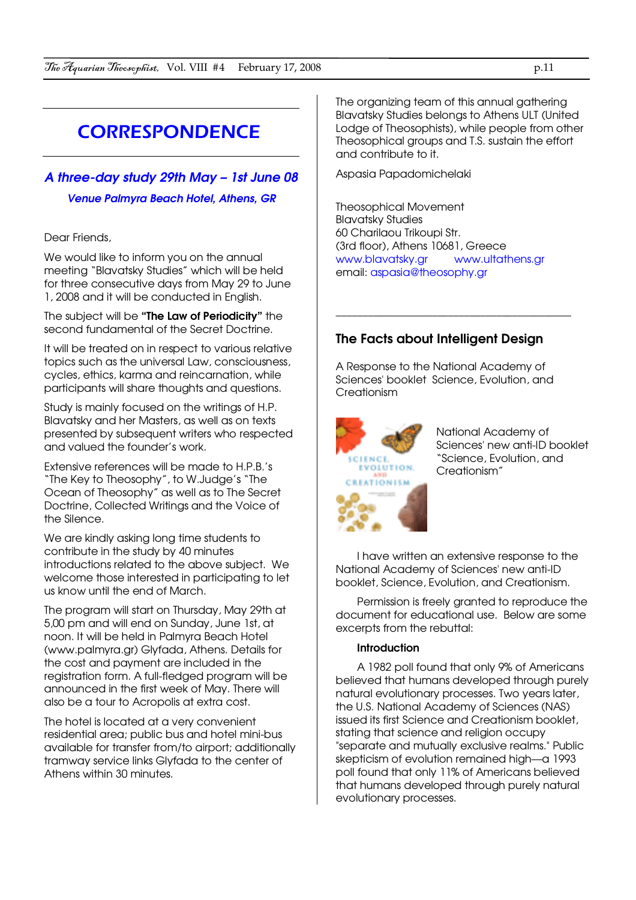### **CORRESPONDENCE**

### A three-day study 29th May – 1st June 08 Venue Palmyra Beach Hotel, Athens, GR

#### Dear Friends,

We would like to inform you on the annual meeting "Blavatsky Studies" which will be held for three consecutive days from May 29 to June 1, 2008 and it will be conducted in English.

The subject will be "The Law of Periodicity" the second fundamental of the Secret Doctrine.

It will be treated on in respect to various relative topics such as the universal Law, consciousness, cycles, ethics, karma and reincarnation, while participants will share thoughts and questions.

Study is mainly focused on the writings of H.P. Blavatsky and her Masters, as well as on texts presented by subsequent writers who respected and valued the founder's work.

Extensive references will be made to H.P.B.'s "The Key to Theosophy", to W.Judge's "The Ocean of Theosophy" as well as to The Secret Doctrine, Collected Writings and the Voice of the Silence.

We are kindly asking long time students to contribute in the study by 40 minutes introductions related to the above subject. We welcome those interested in participating to let us know until the end of March.

The program will start on Thursday, May 29th at 5,00 pm and will end on Sunday, June 1st, at noon. It will be held in Palmyra Beach Hotel (www.palmyra.gr) Glyfada, Athens. Details for the cost and payment are included in the registration form. A full-fledged program will be announced in the first week of May. There will also be a tour to Acropolis at extra cost.

The hotel is located at a very convenient residential area; public bus and hotel mini-bus available for transfer from/to airport; additionally tramway service links Glyfada to the center of Athens within 30 minutes.

The organizing team of this annual gathering Blavatsky Studies belongs to Athens ULT (United Lodge of Theosophists), while people from other Theosophical groups and T.S. sustain the effort and contribute to it.

Aspasia Papadomichelaki

Theosophical Movement Blavatsky Studies 60 Charilaou Trikoupi Str. (3rd floor), Athens 10681, Greece www.blavatsky.gr www.ultathens.gr email: aspasia@theosophy.gr

#### The Facts about Intelligent Design

\_\_\_\_\_\_\_\_\_\_\_\_\_\_\_\_\_\_\_\_\_\_\_\_\_\_\_\_\_\_\_\_\_\_\_\_\_\_\_\_\_\_\_\_

A Response to the National Academy of Sciences' booklet Science, Evolution, and Creationism



National Academy of Sciences' new anti-ID booklet "Science, Evolution, and Creationism"

I have written an extensive response to the National Academy of Sciences' new anti-ID booklet, Science, Evolution, and Creationism.

Permission is freely granted to reproduce the document for educational use. Below are some excerpts from the rebuttal:

#### Introduction

A 1982 poll found that only 9% of Americans believed that humans developed through purely natural evolutionary processes. Two years later, the U.S. National Academy of Sciences (NAS) issued its first Science and Creationism booklet, stating that science and religion occupy "separate and mutually exclusive realms." Public skepticism of evolution remained high—a 1993 poll found that only 11% of Americans believed that humans developed through purely natural evolutionary processes.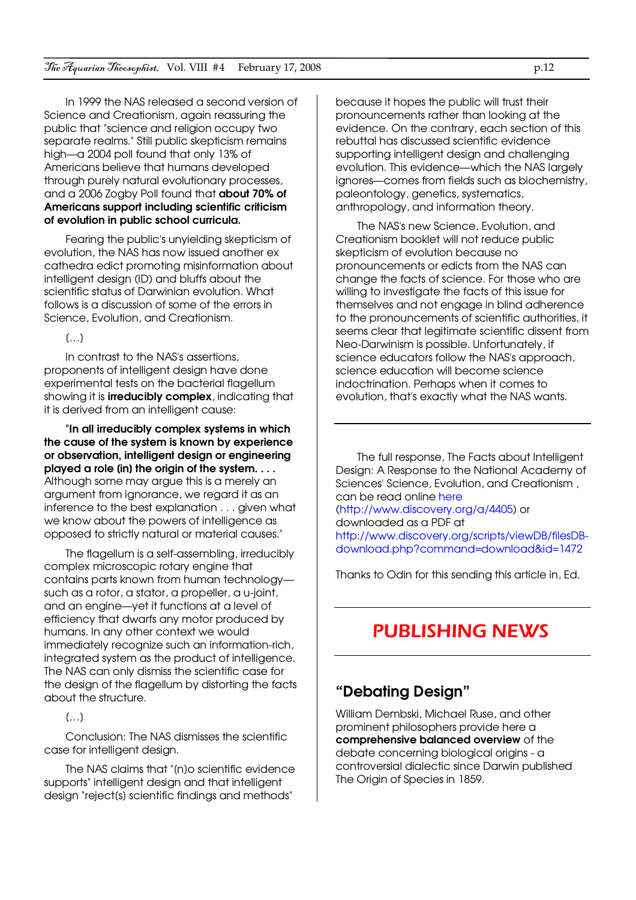In 1999 the NAS released a second version of Science and Creationism, again reassuring the public that "science and religion occupy two separate realms." Still public skepticism remains high—a 2004 poll found that only 13% of Americans believe that humans developed through purely natural evolutionary processes, and a 2006 Zogby Poll found that **about 70% of** Americans support including scientific criticism of evolution in public school curricula.

Fearing the public's unyielding skepticism of evolution, the NAS has now issued another ex cathedra edict promoting misinformation about intelligent design (ID) and bluffs about the scientific status of Darwinian evolution. What follows is a discussion of some of the errors in Science, Evolution, and Creationism.

#### $(\ldots)$

In contrast to the NAS's assertions, proponents of intelligent design have done experimental tests on the bacterial flagellum showing it is **irreducibly complex**, indicating that it is derived from an intelligent cause:

"In all irreducibly complex systems in which the cause of the system is known by experience or observation, intelligent design or engineering played a role (in) the origin of the system.  $\dots$ Although some may argue this is a merely an argument from ignorance, we regard it as an inference to the best explanation . . . given what we know about the powers of intelligence as opposed to strictly natural or material causes."

The flagellum is a self-assembling, irreducibly complex microscopic rotary engine that contains parts known from human technology such as a rotor, a stator, a propeller, a u-joint, and an engine—yet it functions at a level of efficiency that dwarfs any motor produced by humans. In any other context we would immediately recognize such an information-rich, integrated system as the product of intelligence. The NAS can only dismiss the scientific case for the design of the flagellum by distorting the facts about the structure.

#### $(\ldots)$

Conclusion: The NAS dismisses the scientific case for intelligent design.

The NAS claims that "[n]o scientific evidence supports" intelligent design and that intelligent design "reject[s] scientific findings and methods"

because it hopes the public will trust their pronouncements rather than looking at the evidence. On the contrary, each section of this rebuttal has discussed scientific evidence supporting intelligent design and challenging evolution. This evidence—which the NAS largely ignores—comes from fields such as biochemistry, paleontology, genetics, systematics, anthropology, and information theory.

The NAS's new Science, Evolution, and Creationism booklet will not reduce public skepticism of evolution because no pronouncements or edicts from the NAS can change the facts of science. For those who are willing to investigate the facts of this issue for themselves and not engage in blind adherence to the pronouncements of scientific authorities, it seems clear that legitimate scientific dissent from Neo-Darwinism is possible. Unfortunately, if science educators follow the NAS's approach, science education will become science indoctrination. Perhaps when it comes to evolution, that's exactly what the NAS wants.

The full response, The Facts about Intelligent Design: A Response to the National Academy of Sciences' Science, Evolution, and Creationism , can be read online here (http://www.discovery.org/a/4405) or downloaded as a PDF at http://www.discovery.org/scripts/viewDB/filesDBdownload.php?command=download&id=1472

Thanks to Odin for this sending this article in, Ed.

### PUBLISHING NEWS

### "Debating Design"

William Dembski, Michael Ruse, and other prominent philosophers provide here a comprehensive balanced overview of the debate concerning biological origins - a controversial dialectic since Darwin published The Origin of Species in 1859.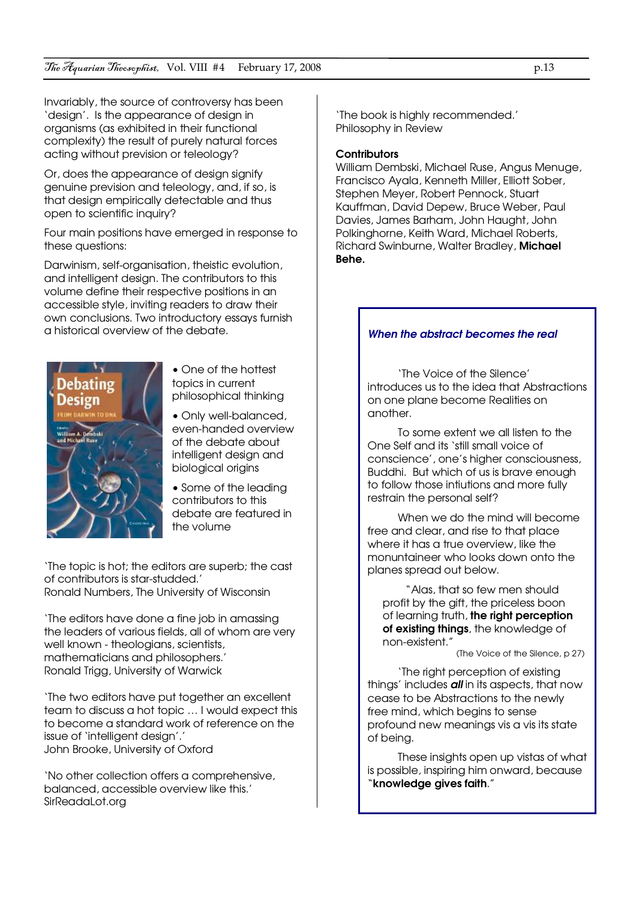Invariably, the source of controversy has been 'design'. Is the appearance of design in organisms (as exhibited in their functional complexity) the result of purely natural forces acting without prevision or teleology?

Or, does the appearance of design signify genuine prevision and teleology, and, if so, is that design empirically detectable and thus open to scientific inquiry?

Four main positions have emerged in response to these questions:

Darwinism, self-organisation, theistic evolution, and intelligent design. The contributors to this volume define their respective positions in an accessible style, inviting readers to draw their own conclusions. Two introductory essays furnish a historical overview of the debate.



• One of the hottest topics in current philosophical thinking

- Only well-balanced, even-handed overview of the debate about intelligent design and biological origins
- Some of the leading contributors to this debate are featured in the volume

'The topic is hot; the editors are superb; the cast of contributors is star-studded.' Ronald Numbers, The University of Wisconsin

'The editors have done a fine job in amassing the leaders of various fields, all of whom are very well known - theologians, scientists, mathematicians and philosophers.' Ronald Trigg, University of Warwick

'The two editors have put together an excellent team to discuss a hot topic … I would expect this to become a standard work of reference on the issue of 'intelligent design'.' John Brooke, University of Oxford

'No other collection offers a comprehensive, balanced, accessible overview like this.' SirReadaLot.org

'The book is highly recommended.' Philosophy in Review

#### **Contributors**

William Dembski, Michael Ruse, Angus Menuge, Francisco Ayala, Kenneth Miller, Elliott Sober, Stephen Meyer, Robert Pennock, Stuart Kauffman, David Depew, Bruce Weber, Paul Davies, James Barham, John Haught, John Polkinghorne, Keith Ward, Michael Roberts, Richard Swinburne, Walter Bradley, Michael Behe.

#### When the abstract becomes the real

'The Voice of the Silence' introduces us to the idea that Abstractions on one plane become Realities on another.

To some extent we all listen to the One Self and its 'still small voice of conscience', one's higher consciousness, Buddhi. But which of us is brave enough to follow those intiutions and more fully restrain the personal self?

When we do the mind will become free and clear, and rise to that place where it has a true overview, like the monuntaineer who looks down onto the planes spread out below.

"Alas, that so few men should profit by the gift, the priceless boon of learning truth, the right perception of existing things, the knowledge of non-existent."

(The Voice of the Silence, p 27)

'The right perception of existing things' includes all in its aspects, that now cease to be Abstractions to the newly free mind, which begins to sense profound new meanings vis a vis its state of being.

These insights open up vistas of what is possible, inspiring him onward, because "knowledge gives faith."